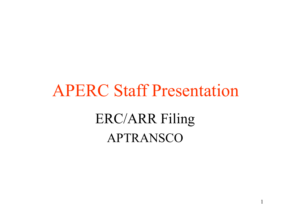# APERC Staff Presentation ERC/ARR Filing APTRANSCO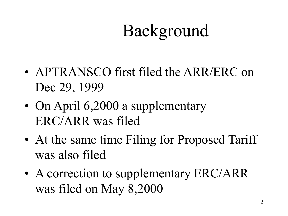## Background

- APTRANSCO first filed the ARR/ERC on Dec 29, 1999
- On April 6,2000 a supplementary ERC/ARR was filed
- At the same time Filing for Proposed Tariff was also filed
- A correction to supplementary ERC/ARR was filed on May 8,2000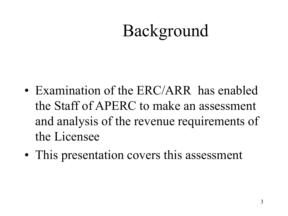### Background

- Examination of the ERC/ARR has enabled the Staff of APERC to make an assessment and analysis of the revenue requirements of the Licensee
- This presentation covers this assessment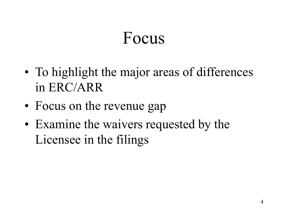#### Focus

- To highlight the major areas of differences in ERC/ARR
- Focus on the revenue gap
- Examine the waivers requested by the Licensee in the filings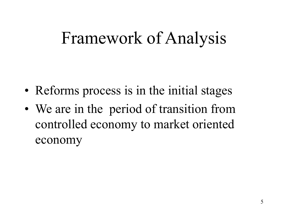#### Framework of Analysis

- Reforms process is in the initial stages
- We are in the period of transition from controlled economy to market oriented economy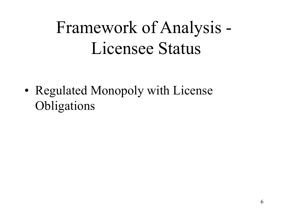# Framework of Analysis - Licensee Status

• Regulated Monopoly with License Obligations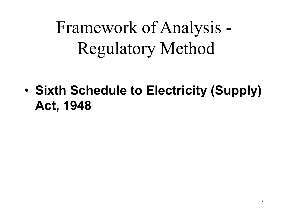Framework of Analysis - Regulatory Method

• Sixth Schedule to Electricity (Supply) Act, 1948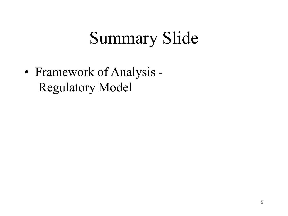### Summary Slide

• Framework of Analysis - Regulatory Model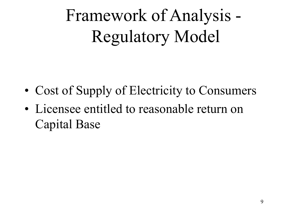# Framework of Analysis - Regulatory Model

- Cost of Supply of Electricity to Consumers
- Licensee entitled to reasonable return on Capital Base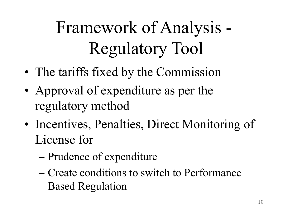# Framework of Analysis - Regulatory Tool

- The tariffs fixed by the Commission
- Approval of expenditure as per the regulatory method
- Incentives, Penalties, Direct Monitoring of License for
	- Prudence of expenditure
	- Create conditions to switch to Performance Based Regulation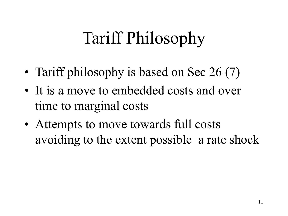# Tariff Philosophy

- Tariff philosophy is based on Sec 26 (7)
- It is a move to embedded costs and over time to marginal costs
- Attempts to move towards full costs avoiding to the extent possible a rate shock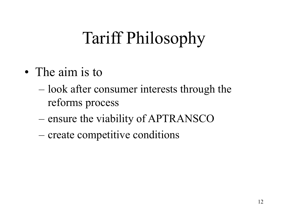# Tariff Philosophy

- The aim is to
	- look after consumer interests through the reforms process
	- ensure the viability of APTRANSCO
	- create competitive conditions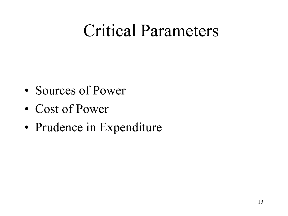#### Critical Parameters

- Sources of Power
- Cost of Power
- Prudence in Expenditure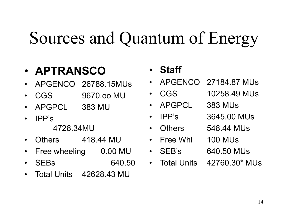#### Sources and Quantum of Energy

#### • APTRANSCO

- APGENCO 26788.15MUs
- CGS 9670.oo MU
- APGPCL 383 MU
- IPP's
	- 4728.34MU
- Others 418.44 MU
- Free wheeling 0.00 MU
- SEBs 640.50
- Total Units 42628.43 MU

#### • Staff

- APGENCO 27184.87 MUs
- CGS 10258.49 MUs
- APGPCL 383 MUs
	- IPP's 3645.00 MUs
	- Others 548.44 MUs
- Free Whl 100 MUs
- SEB's 640.50 MUs
- 
- Total Units 42760.30\* MUs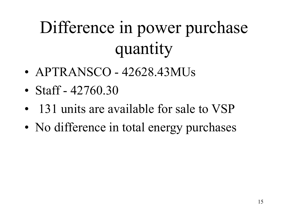# Difference in power purchase quantity

- APTRANSCO 42628.43MUs
- Staff  $42760.30$
- 131 units are available for sale to VSP
- No difference in total energy purchases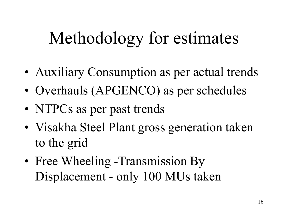### Methodology for estimates

- Auxiliary Consumption as per actual trends
- Overhauls (APGENCO) as per schedules
- NTPCs as per past trends
- Visakha Steel Plant gross generation taken to the grid
- Free Wheeling -Transmission By Displacement - only 100 MUs taken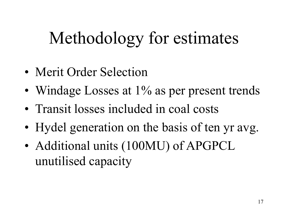## Methodology for estimates

- Merit Order Selection
- Windage Losses at 1% as per present trends
- Transit losses included in coal costs
- Hydel generation on the basis of ten yr avg.
- Additional units (100MU) of APGPCL unutilised capacity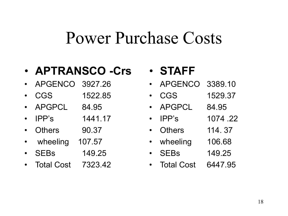#### Power Purchase Costs

#### • APTRANSCO -Crs

- APGENCO 3927.26
- CGS 1522.85
- APGPCL 84.95
- IPP's 1441.17
- Others 90.37
- wheeling 107.57
- SEBs 149.25
- Total Cost 7323.42

#### • STAFF

- APGENCO 3389.10
- CGS 1529.37
- APGPCL 84.95
- IPP's 1074 .22
- Others 114. 37
- wheeling 106.68
- SEBs 149.25
- Total Cost 6447.95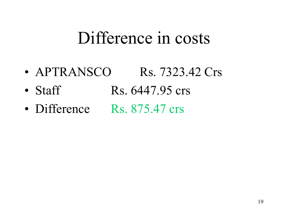#### Difference in costs

- APTRANSCO Rs. 7323.42 Crs
- Staff Rs.  $6447.95$  crs
- Difference Rs. 875.47 crs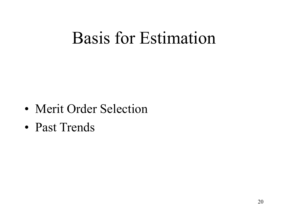#### Basis for Estimation

- Merit Order Selection
- Past Trends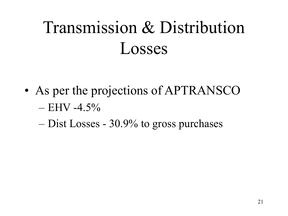# Transmission & Distribution Losses

- As per the projections of APTRANSCO  $-$  EHV -4.5%
	- Dist Losses 30.9% to gross purchases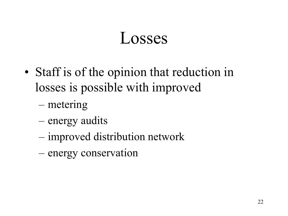#### Losses

- Staff is of the opinion that reduction in losses is possible with improved
	- metering
	- energy audits
	- improved distribution network
	- energy conservation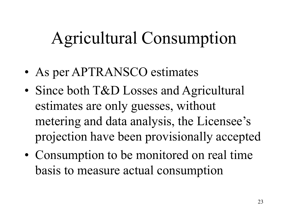## Agricultural Consumption

- As per APTRANSCO estimates
- Since both T&D Losses and Agricultural estimates are only guesses, without metering and data analysis, the Licensee's projection have been provisionally accepted
- Consumption to be monitored on real time basis to measure actual consumption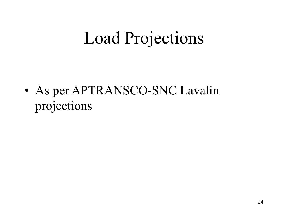### Load Projections

• As per APTRANSCO-SNC Lavalin projections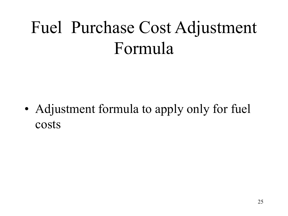## Fuel Purchase Cost Adjustment Formula

• Adjustment formula to apply only for fuel costs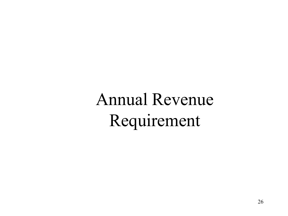Annual Revenue Requirement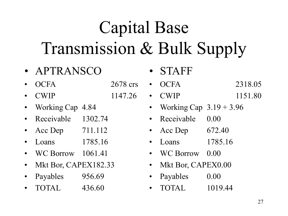# Capital Base Transmission & Bulk Supply

- APTRANSCO
- OCFA 2678 crs
- CWIP 1147.26
- Working Cap 4.84
- Receivable 1302.74
- Acc Dep 711.112
- Loans 1785.16
- WC Borrow 1061.41
- Mkt Bor, CAPEX182.33
- Payables 956.69
- TOTAL 436.60
- **STAFF**
- OCFA 2318.05
- CWIP 1151.80
	- Working Cap  $3.19 + 3.96$
	- Receivable 0.00
	- Acc Dep 672.40
	- Loans 1785.16
	- WC Borrow 0.00
	- Mkt Bor, CAPEX0.00
	- Payables 0.00
	- TOTAL 1019.44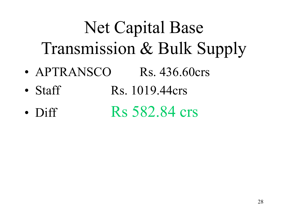# Net Capital Base Transmission & Bulk Supply

- APTRANSCO Rs. 436.60crs
- Staff Rs.  $1019.44crs$
- Diff Rs 582.84 crs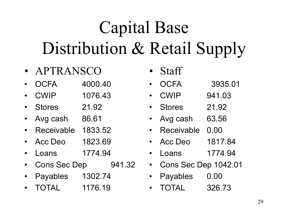# Capital Base Distribution & Retail Supply

- APTRANSCO
- OCFA 4000.40
- CWIP 1076.43
- Stores 21.92
- Avg cash 86.61
- Receivable 1833.52
- Acc Deo 1823.69
- Loans 1774.94
- Cons Sec Dep 941.32
- Payables 1302.74
- TOTAL 1176.19
- Staff
- OCFA 3935.01
- CWIP 941.03
- Stores 21.92
- Avg cash 63.56
- Receivable 0.00
- Acc Deo 1817.84
- Loans 1774.94
- Cons Sec Dep 1042.01
- Payables 0.00
- TOTAL 326.73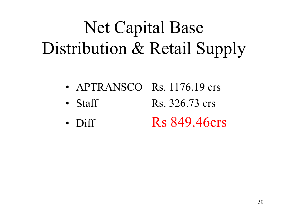# Net Capital Base Distribution & Retail Supply

- APTRANSCO Rs. 1176.19 crs
- Staff Rs.  $326.73$  crs
- Diff Rs 849.46crs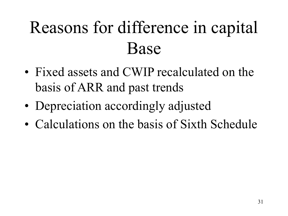# Reasons for difference in capital Base

- Fixed assets and CWIP recalculated on the basis of ARR and past trends
- Depreciation accordingly adjusted
- Calculations on the basis of Sixth Schedule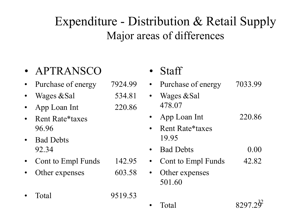#### Expenditure - Distribution & Retail Supply Major areas of differences

#### • APTRANSCO

- Purchase of energy 7924.99
- Wages  $\&$ Sal 534.81
- App Loan Int 220.86
- Rent Rate\*taxes 96.96
- Bad Debts 92.34
- Cont to Empl Funds 142.95
- Other expenses 603.58
- Total 9519.53

| Staff                    |         |
|--------------------------|---------|
| Purchase of energy       | 7033.99 |
| Wages & Sal<br>478.07    |         |
| App Loan Int             | 220.86  |
| Rent Rate*taxes<br>19.95 |         |
| <b>Bad Debts</b>         | 0.00    |
| Cont to Empl Funds       | 42.82   |
| Other expenses<br>501.60 |         |
| Total                    | 8297    |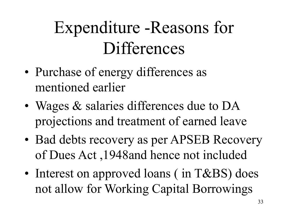## Expenditure -Reasons for **Differences**

- Purchase of energy differences as mentioned earlier
- Wages & salaries differences due to DA projections and treatment of earned leave
- Bad debts recovery as per APSEB Recovery of Dues Act ,1948and hence not included
- Interest on approved loans (in T&BS) does not allow for Working Capital Borrowings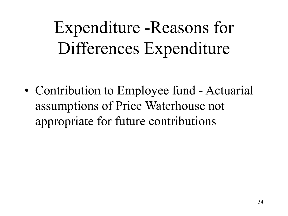Expenditure -Reasons for Differences Expenditure

• Contribution to Employee fund - Actuarial assumptions of Price Waterhouse not appropriate for future contributions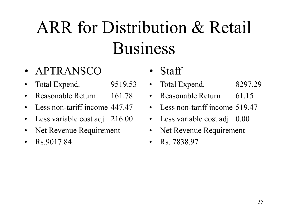# ARR for Distribution & Retail Business

- APTRANSCO
- Total Expend. 9519.53
- Reasonable Return 161.78
- Less non-tariff income 447.47
- Less variable cost adj 216.00
- Net Revenue Requirement
- $\text{Rs}.9017.84$
- Staff
- Total Expend. 8297.29
- Reasonable Return 61.15
- Less non-tariff income 519.47
- Less variable cost adj 0.00
- Net Revenue Requirement
- Rs. 7838.97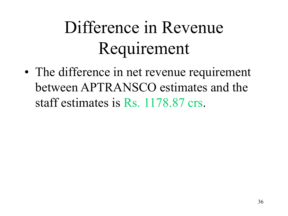# Difference in Revenue Requirement

• The difference in net revenue requirement between APTRANSCO estimates and the staff estimates is Rs. 1178.87 crs.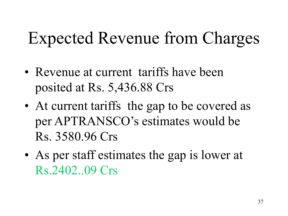## Expected Revenue from Charges

- Revenue at current tariffs have been posited at Rs. 5,436.88 Crs
- At current tariffs the gap to be covered as per APTRANSCO's estimates would be Rs. 3580.96 Crs
- As per staff estimates the gap is lower at Rs.2402..09 Crs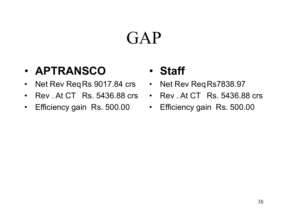### GAP

#### • APTRANSCO

- Net Rev Req Rs 9017.84 crs
- Rev . At CT Rs. 5436.88 crs
- Efficiency gain Rs. 500.00

#### • Staff

- Net Rev Req Rs7838.97
- Rev . At CT Rs. 5436.88 crs
- Efficiency gain Rs. 500.00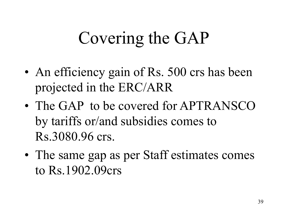#### Covering the GAP

- An efficiency gain of Rs. 500 crs has been projected in the ERC/ARR
- The GAP to be covered for APTRANSCO by tariffs or/and subsidies comes to Rs.3080.96 crs.
- The same gap as per Staff estimates comes to Rs.1902.09crs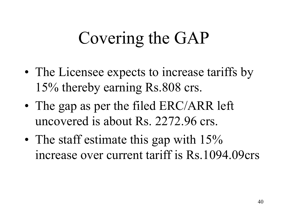#### Covering the GAP

- The Licensee expects to increase tariffs by 15% thereby earning Rs.808 crs.
- The gap as per the filed ERC/ARR left uncovered is about Rs. 2272.96 crs.
- The staff estimate this gap with 15% increase over current tariff is Rs.1094.09crs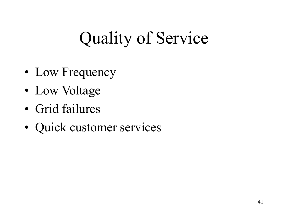# Quality of Service

- Low Frequency
- Low Voltage
- Grid failures
- Quick customer services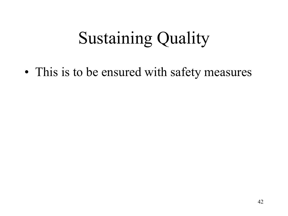## Sustaining Quality

• This is to be ensured with safety measures